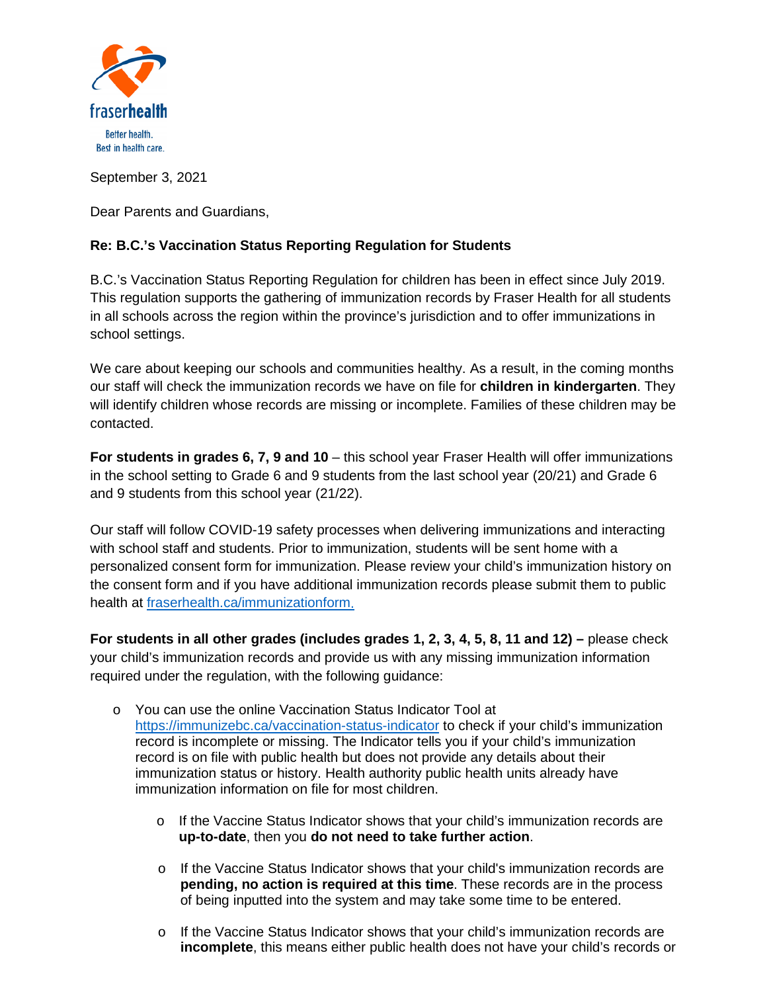

September 3, 2021

Dear Parents and Guardians,

## **Re: B.C.'s Vaccination Status Reporting Regulation for Students**

B.C.'s Vaccination Status Reporting Regulation for children has been in effect since July 2019. This regulation supports the gathering of immunization records by Fraser Health for all students in all schools across the region within the province's jurisdiction and to offer immunizations in school settings.

We care about keeping our schools and communities healthy. As a result, in the coming months our staff will check the immunization records we have on file for **children in kindergarten**. They will identify children whose records are missing or incomplete. Families of these children may be contacted.

**For students in grades 6, 7, 9 and 10** – this school year Fraser Health will offer immunizations in the school setting to Grade 6 and 9 students from the last school year (20/21) and Grade 6 and 9 students from this school year (21/22).

Our staff will follow COVID-19 safety processes when delivering immunizations and interacting with school staff and students. Prior to immunization, students will be sent home with a personalized consent form for immunization. Please review your child's immunization history on the consent form and if you have additional immunization records please submit them to public health at [fraserhealth.ca/immunizationform.](http://fraserhealth.ca/immunizationform)

**For students in all other grades (includes grades 1, 2, 3, 4, 5, 8, 11 and 12) –** please check your child's immunization records and provide us with any missing immunization information required under the regulation, with the following guidance:

- o You can use the online Vaccination Status Indicator Tool at <https://immunizebc.ca/vaccination-status-indicator> to check if your child's immunization record is incomplete or missing. The Indicator tells you if your child's immunization record is on file with public health but does not provide any details about their immunization status or history. Health authority public health units already have immunization information on file for most children.
	- $\circ$  If the Vaccine Status Indicator shows that your child's immunization records are **up-to-date**, then you **do not need to take further action**.
	- $\circ$  If the Vaccine Status Indicator shows that your child's immunization records are **pending, no action is required at this time**. These records are in the process of being inputted into the system and may take some time to be entered.
	- $\circ$  If the Vaccine Status Indicator shows that your child's immunization records are **incomplete**, this means either public health does not have your child's records or